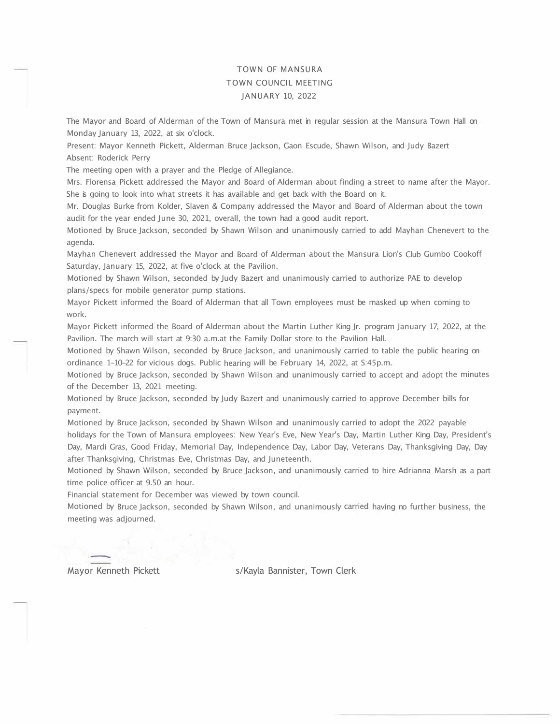## TOWN OF MANSURA TOWN COUNCIL MEETING JANUARY 10, 2022

The Mayor and Board of Alderman of the Town of Mansura met in regular session at the Mansura Town Hall on Monday January 13, 2022, at six o'clock.

Present: Mayor Kenneth Pickett, Alderman Bruce Jackson, Gaon Escude, Shawn Wilson, and Judy Bazert Absent: Roderick Perry

The meeting open with a prayer and the Pledge of Allegiance.

Mrs. Florensa Pickett addressed the Mayor and Board of Alderman about finding a street to name after the Mayor. She is going to look into what streets it has available and get back with the Board on it.

Mr. Douglas Burke from Kolder, Slaven & Company addressed the Mayor and Board of Alderman about the town audit for the year ended June 30, 2021, overall, the town had a good audit report.

Motioned by Bruce Jackson, seconded by Shawn Wilson and unanimously carried to add Mayhan Chenevert to the agenda.

Mayhan Chenevert addressed the Mayor and Board of Alderman about the Mansura Lion's Club Gumbo Cookoff Saturday, January 15, 2022, at five o'clock at the Pavilion.

Motioned by Shawn Wilson, seconded by Judy Bazert and unanimously carried to authorize PAE to develop plans/specs for mobile generator pump stations.

Mayor Pickett informed the Board of Alderman that all Town employees must be masked up when coming to work.

Mayor Pickett informed the Board of Alderman about the Martin Luther King Jr. program January 17, 2022, at the Pavilion. The march will start at 9:30 a.m.at the Family Dollar store to the Pavilion Hall.

Motioned by Shawn Wilson, seconded by Bruce Jackson, and unanimously carried to table the public hearing on ordinance 1-10-22 for vicious dogs. Public hearing will be February 14, 2022, at S:45p.m.

Motioned by Bruce Jackson, seconded by Shawn Wilson and unanimously carried to accept and adopt the minutes of the December 13, 2021 meeting.

Motioned by Bruce Jackson, seconded by Judy Bazert and unanimously carried to approve December bills for payment.

Motioned by Bruce Jackson, seconded by Shawn Wilson and unanimously carried to adopt the 2022 payable holidays for the Town of Mansura employees: New Year's Eve, New Year's Day, Martin Luther King Day, President's Day, Mardi Gras, Good Friday, Memorial Day, Independence Day, Labor Day, Veterans Day, Thanksgiving Day, Day after Thanksgiving, Christmas Eve, Christmas Day, and Juneteenth.

Motioned by Shawn Wilson, seconded by Bruce Jackson, and unanimously carried to hire Adrianna Marsh as a part time police officer at 9.50 an hour.

Financial statement for December was viewed by town council.

Motioned by Bruce Jackson, seconded by Shawn Wilson, and unanimously carried having no further business, the meeting was adjourned.

Mayor Kenneth Pickett s/Kayla Bannister, Town Clerk